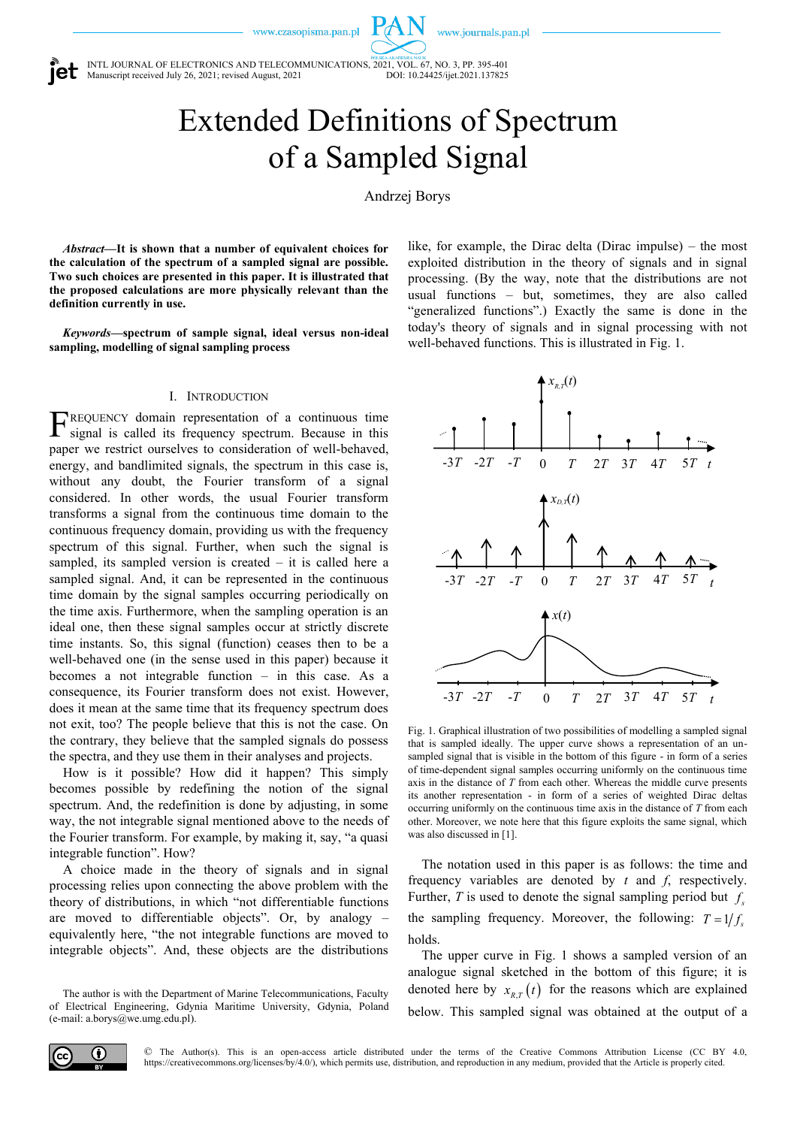www.journals.pan.pl

INTL JOURNAL OF ELECTRONICS AND TELECOMMUNICATIONS, 2021, VOL. 67, NO. 3, PP. 395-401<br>Manuscript received July 26, 2021; revised August, 2021 Manuscript received July 26, 2021; revised August, 2021

> Extended Definitions of Spectrum of a Sampled Signal

> > Andrzej Borys

*Abstract***—It is shown that a number of equivalent choices for the calculation of the spectrum of a sampled signal are possible. Two such choices are presented in this paper. It is illustrated that the proposed calculations are more physically relevant than the definition currently in use.**

*Keywords***—spectrum of sample signal, ideal versus non-ideal sampling, modelling of signal sampling process**

#### I. INTRODUCTION

REQUENCY domain representation of a continuous time F signal is called its frequency spectrum. Because in this paper we restrict ourselves to consideration of well-behaved, energy, and bandlimited signals, the spectrum in this case is, without any doubt, the Fourier transform of a signal considered. In other words, the usual Fourier transform transforms a signal from the continuous time domain to the continuous frequency domain, providing us with the frequency spectrum of this signal. Further, when such the signal is sampled, its sampled version is created  $-$  it is called here a sampled signal. And, it can be represented in the continuous time domain by the signal samples occurring periodically on the time axis. Furthermore, when the sampling operation is an ideal one, then these signal samples occur at strictly discrete time instants. So, this signal (function) ceases then to be a well-behaved one (in the sense used in this paper) because it becomes a not integrable function – in this case. As a consequence, its Fourier transform does not exist. However, does it mean at the same time that its frequency spectrum does not exit, too? The people believe that this is not the case. On the contrary, they believe that the sampled signals do possess the spectra, and they use them in their analyses and projects.

How is it possible? How did it happen? This simply becomes possible by redefining the notion of the signal spectrum. And, the redefinition is done by adjusting, in some way, the not integrable signal mentioned above to the needs of the Fourier transform. For example, by making it, say, "a quasi integrable function". How?

A choice made in the theory of signals and in signal processing relies upon connecting the above problem with the theory of distributions, in which "not differentiable functions are moved to differentiable objects". Or, by analogy – equivalently here, "the not integrable functions are moved to integrable objects". And, these objects are the distributions

The author is with the Department of Marine Telecommunications, Faculty of Electrical Engineering, Gdynia Maritime University, Gdynia, Poland (e-mail: a.borys@we.umg.edu.pl).

like, for example, the Dirac delta (Dirac impulse) – the most exploited distribution in the theory of signals and in signal processing. (By the way, note that the distributions are not usual functions – but, sometimes, they are also called "generalized functions".) Exactly the same is done in the today's theory of signals and in signal processing with not well-behaved functions. This is illustrated in Fig. 1.



Fig. 1. Graphical illustration of two possibilities of modelling a sampled signal that is sampled ideally. The upper curve shows a representation of an unsampled signal that is visible in the bottom of this figure - in form of a series of time-dependent signal samples occurring uniformly on the continuous time axis in the distance of *T* from each other. Whereas the middle curve presents its another representation - in form of a series of weighted Dirac deltas occurring uniformly on the continuous time axis in the distance of *T* from each other. Moreover, we note here that this figure exploits the same signal, which was also discussed in [1].

The notation used in this paper is as follows: the time and frequency variables are denoted by *t* and *f*, respectively. Further, T is used to denote the signal sampling period but  $f_s$ the sampling frequency. Moreover, the following:  $T = 1/f_s$ holds.

The upper curve in Fig. 1 shows a sampled version of an analogue signal sketched in the bottom of this figure; it is denoted here by  $x_{R,T}(t)$  for the reasons which are explained below. This sampled signal was obtained at the output of a

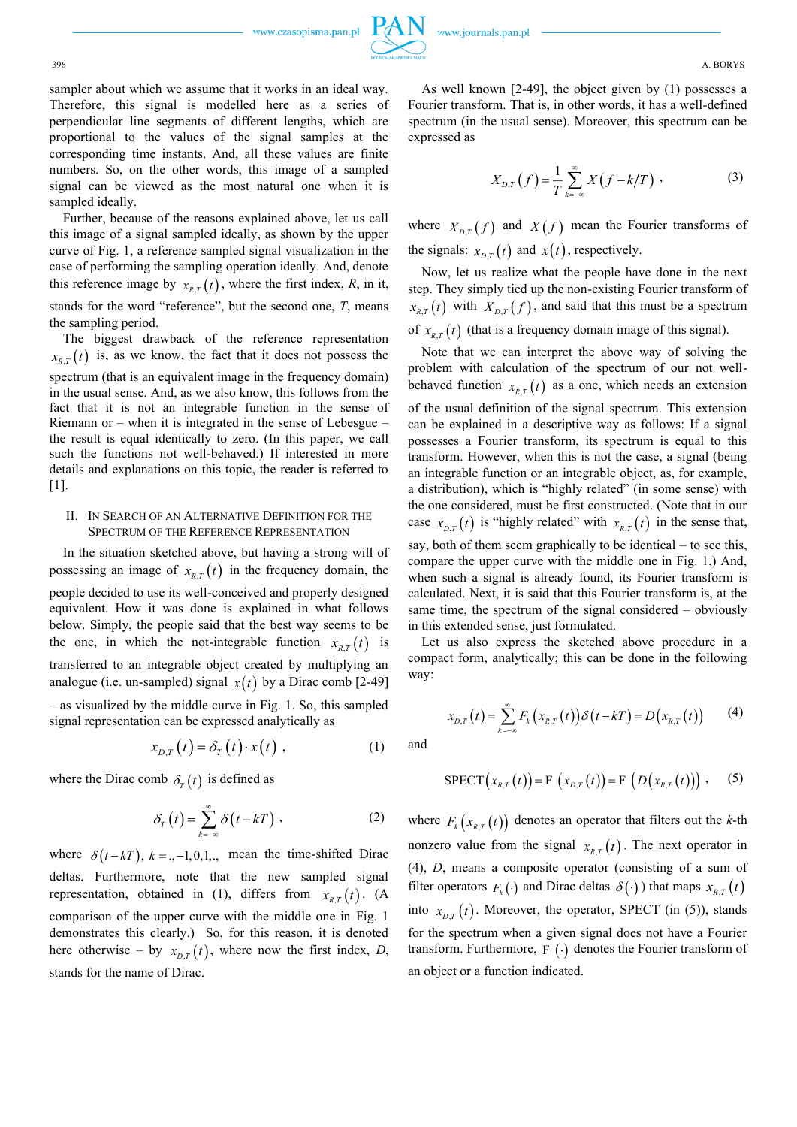396 A. BORYS

sampler about which we assume that it works in an ideal way. Therefore, this signal is modelled here as a series of perpendicular line segments of different lengths, which are proportional to the values of the signal samples at the corresponding time instants. And, all these values are finite numbers. So, on the other words, this image of a sampled signal can be viewed as the most natural one when it is sampled ideally.

Further, because of the reasons explained above, let us call this image of a signal sampled ideally, as shown by the upper curve of Fig. 1, a reference sampled signal visualization in the case of performing the sampling operation ideally. And, denote this reference image by  $x_{R,T}(t)$ , where the first index, *R*, in it, stands for the word "reference", but the second one, *T*, means the sampling period.

The biggest drawback of the reference representation  $x_{R,T}(t)$  is, as we know, the fact that it does not possess the spectrum (that is an equivalent image in the frequency domain) in the usual sense. And, as we also know, this follows from the fact that it is not an integrable function in the sense of Riemann or – when it is integrated in the sense of Lebesgue – the result is equal identically to zero. (In this paper, we call such the functions not well-behaved.) If interested in more details and explanations on this topic, the reader is referred to [1].

## II. IN SEARCH OF AN ALTERNATIVE DEFINITION FOR THE SPECTRUM OF THE REFERENCE REPRESENTATION

In the situation sketched above, but having a strong will of possessing an image of  $x_{R,T}(t)$  in the frequency domain, the people decided to use its well-conceived and properly designed equivalent. How it was done is explained in what follows below. Simply, the people said that the best way seems to be the one, in which the not-integrable function  $x_{R,T}(t)$  is transferred to an integrable object created by multiplying an analogue (i.e. un-sampled) signal  $x(t)$  by a Dirac comb [2-49] – as visualized by the middle curve in Fig. 1. So, this sampled signal representation can be expressed analytically as

$$
x_{D,T}(t) = \delta_T(t) \cdot x(t) , \qquad (1)
$$

where the Dirac comb  $\delta_r(t)$  is defined as

$$
\delta_T(t) = \sum_{k=-\infty}^{\infty} \delta(t - kT) \tag{2}
$$

where  $\delta(t - kT)$ ,  $k = (-1, 0, 1, \dots)$  mean the time-shifted Dirac deltas. Furthermore, note that the new sampled signal representation, obtained in (1), differs from  $x_{R,T}(t)$ . (A comparison of the upper curve with the middle one in Fig. 1 demonstrates this clearly.) So, for this reason, it is denoted here otherwise – by  $x_{D,T}(t)$ , where now the first index, *D*, stands for the name of Dirac.

As well known [2-49], the object given by (1) possesses a Fourier transform. That is, in other words, it has a well-defined spectrum (in the usual sense). Moreover, this spectrum can be expressed as

$$
X_{D,T}(f) = \frac{1}{T} \sum_{k=-\infty}^{\infty} X(f - k/T) ,
$$
 (3)

where  $X_{D,T}(f)$  and  $X(f)$  mean the Fourier transforms of the signals:  $x_{D,T}(t)$  and  $x(t)$ , respectively.

Now, let us realize what the people have done in the next step. They simply tied up the non-existing Fourier transform of  $x_{R,T}(t)$  with  $X_{D,T}(f)$ , and said that this must be a spectrum of  $x_{R,T}(t)$  (that is a frequency domain image of this signal).

Note that we can interpret the above way of solving the problem with calculation of the spectrum of our not wellbehaved function  $x_{R,T}(t)$  as a one, which needs an extension of the usual definition of the signal spectrum. This extension can be explained in a descriptive way as follows: If a signal possesses a Fourier transform, its spectrum is equal to this transform. However, when this is not the case, a signal (being an integrable function or an integrable object, as, for example, a distribution), which is "highly related" (in some sense) with the one considered, must be first constructed. (Note that in our case  $x_{D,T}(t)$  is "highly related" with  $x_{R,T}(t)$  in the sense that, say, both of them seem graphically to be identical – to see this, compare the upper curve with the middle one in Fig. 1.) And, when such a signal is already found, its Fourier transform is calculated. Next, it is said that this Fourier transform is, at the same time, the spectrum of the signal considered – obviously in this extended sense, just formulated.

Let us also express the sketched above procedure in a compact form, analytically; this can be done in the following way:

$$
x_{D,T}(t) = \sum_{k=-\infty}^{\infty} F_k(x_{R,T}(t)) \delta(t - kT) = D(x_{R,T}(t)) \qquad (4)
$$

and

$$
SPECT(x_{R,T}(t)) = F\left(x_{D,T}(t)\right) = F\left(D\left(x_{R,T}(t)\right)\right), \quad (5)
$$

where  $F_k(x_{k,T}(t))$  denotes an operator that filters out the *k*-th nonzero value from the signal  $x_{R,T}(t)$ . The next operator in (4), *D*, means a composite operator (consisting of a sum of filter operators  $F_k(\cdot)$  and Dirac deltas  $\delta(\cdot)$ ) that maps  $x_{R,T}(t)$ into  $x_{D,T}(t)$ . Moreover, the operator, SPECT (in (5)), stands for the spectrum when a given signal does not have a Fourier transform. Furthermore,  $F(\cdot)$  denotes the Fourier transform of an object or a function indicated.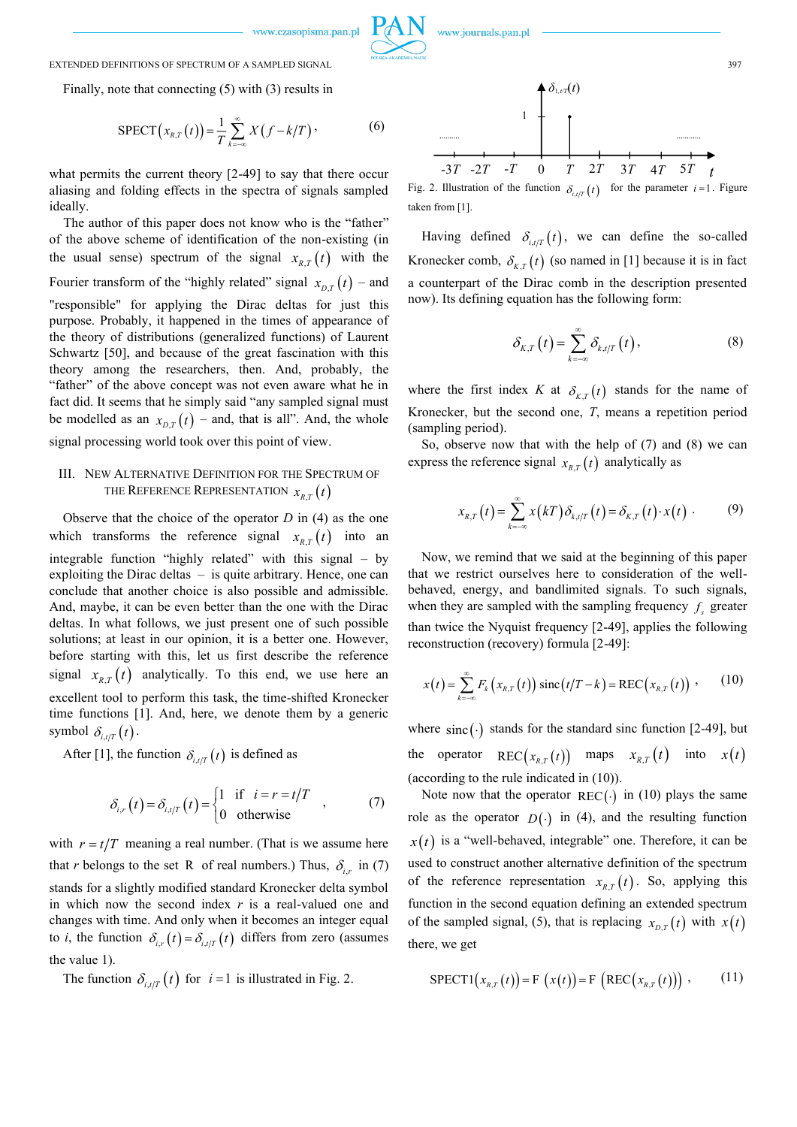

#### EXTENDED DEFINITIONS OF SPECTRUM OF A SAMPLED SIGNAL 397

Finally, note that connecting (5) with (3) results in

$$
SPECT(x_{R,T}(t)) = \frac{1}{T} \sum_{k=-\infty}^{\infty} X(f - k/T), \tag{6}
$$

what permits the current theory [2-49] to say that there occur aliasing and folding effects in the spectra of signals sampled ideally.

The author of this paper does not know who is the "father" of the above scheme of identification of the non-existing (in the usual sense) spectrum of the signal  $x_{R,T}(t)$  with the Fourier transform of the "highly related" signal  $x_{D,T}(t)$  – and "responsible" for applying the Dirac deltas for just this purpose. Probably, it happened in the times of appearance of the theory of distributions (generalized functions) of Laurent Schwartz [50], and because of the great fascination with this theory among the researchers, then. And, probably, the "father" of the above concept was not even aware what he in fact did. It seems that he simply said "any sampled signal must be modelled as an  $x_{D,T}(t)$  – and, that is all". And, the whole signal processing world took over this point of view.

# III. NEW ALTERNATIVE DEFINITION FOR THE SPECTRUM OF THE REFERENCE REPRESENTATION  $x_{R,T}(t)$

Observe that the choice of the operator *D* in (4) as the one which transforms the reference signal  $x_{R,T}(t)$  into an integrable function "highly related" with this signal – by exploiting the Dirac deltas – is quite arbitrary. Hence, one can conclude that another choice is also possible and admissible. And, maybe, it can be even better than the one with the Dirac deltas. In what follows, we just present one of such possible solutions; at least in our opinion, it is a better one. However, before starting with this, let us first describe the reference signal  $x_{R,T}(t)$  analytically. To this end, we use here an excellent tool to perform this task, the time-shifted Kronecker time functions [1]. And, here, we denote them by a generic symbol  $\delta_{i,t/T}(t)$ .

After [1], the function  $\delta_{i,t/T}(t)$  is defined as

$$
\delta_{i,r}(t) = \delta_{i,l/T}(t) = \begin{cases} 1 & \text{if } i = r = t/T \\ 0 & \text{otherwise} \end{cases}
$$
 (7)

with  $r = t/T$  meaning a real number. (That is we assume here that *r* belongs to the set R of real numbers.) Thus,  $\delta_{i,r}$  in (7) stands for a slightly modified standard Kronecker delta symbol in which now the second index *r* is a real-valued one and changes with time. And only when it becomes an integer equal to *i*, the function  $\delta_{i,r}(t) = \delta_{i,r}(t)$  differs from zero (assumes the value 1).

The function  $\delta_{i,t/T}(t)$  for  $i=1$  is illustrated in Fig. 2.



Fig. 2. Illustration of the function  $\delta_{i, l/T}(t)$  for the parameter  $i = 1$ . Figure taken from [1].

Having defined  $\delta_{i,t/T}(t)$ , we can define the so-called Kronecker comb,  $\delta_{K,T}(t)$  (so named in [1] because it is in fact a counterpart of the Dirac comb in the description presented now). Its defining equation has the following form:

$$
\delta_{K,T}\left(t\right)=\sum_{k=-\infty}^{\infty}\delta_{k,t/T}\left(t\right),\tag{8}
$$

where the first index *K* at  $\delta_{K,T}(t)$  stands for the name of Kronecker, but the second one, *T*, means a repetition period (sampling period).

So, observe now that with the help of (7) and (8) we can express the reference signal  $x_{R,T}(t)$  analytically as

$$
x_{R,T}(t) = \sum_{k=-\infty}^{\infty} x(kT) \delta_{k,t/T}(t) = \delta_{K,T}(t) \cdot x(t) \qquad (9)
$$

Now, we remind that we said at the beginning of this paper that we restrict ourselves here to consideration of the wellbehaved, energy, and bandlimited signals. To such signals, when they are sampled with the sampling frequency  $f_s$  greater than twice the Nyquist frequency [2-49], applies the following reconstruction (recovery) formula [2-49]:

$$
x(t) = \sum_{k=-\infty}^{\infty} F_k(x_{R,T}(t)) \operatorname{sinc}(t/T - k) = \operatorname{REC}\bigl(x_{R,T}(t)\bigr) \tag{10}
$$

where  $\text{sinc}(\cdot)$  stands for the standard sinc function [2-49], but the operator  $\text{REC}\big(x_{R,T}(t)\big)$  maps  $x_{R,T}(t)$  into  $x(t)$ (according to the rule indicated in (10)).

Note now that the operator  $REC()$  in (10) plays the same role as the operator  $D(\cdot)$  in (4), and the resulting function  $x(t)$  is a "well-behaved, integrable" one. Therefore, it can be used to construct another alternative definition of the spectrum of the reference representation  $x_{R,T}(t)$ . So, applying this function in the second equation defining an extended spectrum of the sampled signal, (5), that is replacing  $x_{D,T}(t)$  with  $x(t)$ there, we get

$$
SPECTI(x_{R,T}(t)) = F(x(t)) = F(REC(x_{R,T}(t)))
$$
, (11)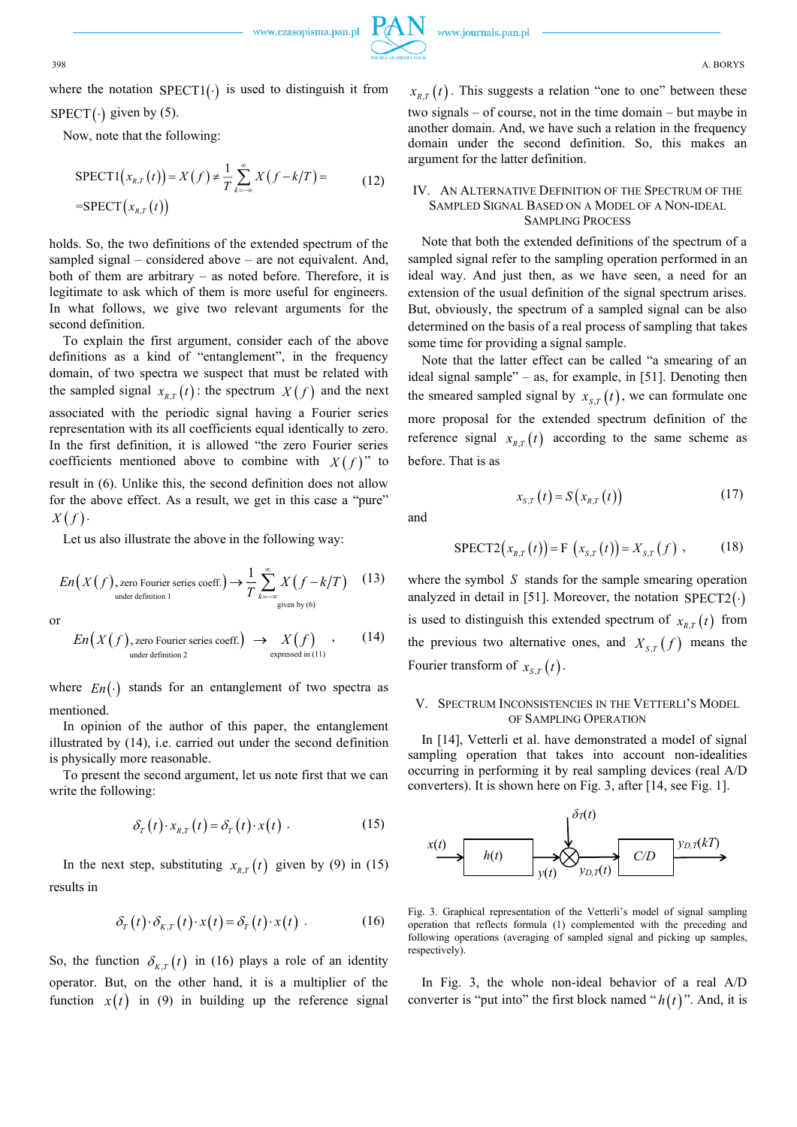(17)

where the notation  $SPECT1(\cdot)$  is used to distinguish it from

 $SPECT(\cdot)$  given by (5). Now, note that the following:

$$
SPECTI(x_{R,T}(t)) = X(f) \neq \frac{1}{T} \sum_{k=-\infty}^{\infty} X(f - k/T) = \tag{12}
$$
\n
$$
= SPECT(x_{R,T}(t))
$$

holds. So, the two definitions of the extended spectrum of the sampled signal – considered above – are not equivalent. And, both of them are arbitrary – as noted before. Therefore, it is legitimate to ask which of them is more useful for engineers. In what follows, we give two relevant arguments for the second definition.

To explain the first argument, consider each of the above definitions as a kind of "entanglement", in the frequency domain, of two spectra we suspect that must be related with the sampled signal  $x_{R,T}(t)$ : the spectrum  $X(f)$  and the next associated with the periodic signal having a Fourier series representation with its all coefficients equal identically to zero. In the first definition, it is allowed "the zero Fourier series coefficients mentioned above to combine with  $X(f)$ " to

result in (6). Unlike this, the second definition does not allow for the above effect. As a result, we get in this case a "pure"  $X(f)$ .

Let us also illustrate the above in the following way:

$$
En(X(f), \text{zero Fourier series coeff.}) \to \frac{1}{T} \sum_{k=-\infty}^{\infty} X(f - k/T) \quad (13)
$$
  
under definition 1 (13)

or

$$
En(X(f), \text{zero Fourier series coeff.}) \rightarrow X(f), \qquad (14)
$$
  
under definition 2 (14)

where  $En(\cdot)$  stands for an entanglement of two spectra as mentioned.

In opinion of the author of this paper, the entanglement illustrated by (14), i.e. carried out under the second definition is physically more reasonable.

To present the second argument, let us note first that we can write the following:

$$
\delta_T(t) \cdot x_{R,T}(t) = \delta_T(t) \cdot x(t) \tag{15}
$$

In the next step, substituting  $x_{R,T}(t)$  given by (9) in (15) results in

$$
\delta_T(t) \cdot \delta_{K,T}(t) \cdot x(t) = \delta_T(t) \cdot x(t) \tag{16}
$$

So, the function  $\delta_{K,T}(t)$  in (16) plays a role of an identity operator. But, on the other hand, it is a multiplier of the function  $x(t)$  in (9) in building up the reference signal

 $x_{R,T}(t)$ . This suggests a relation "one to one" between these two signals – of course, not in the time domain – but maybe in another domain. And, we have such a relation in the frequency domain under the second definition. So, this makes an argument for the latter definition.

## IV. AN ALTERNATIVE DEFINITION OF THE SPECTRUM OF THE SAMPLED SIGNAL BASED ON A MODEL OF A NON-IDEAL SAMPLING PROCESS

Note that both the extended definitions of the spectrum of a sampled signal refer to the sampling operation performed in an ideal way. And just then, as we have seen, a need for an extension of the usual definition of the signal spectrum arises. But, obviously, the spectrum of a sampled signal can be also determined on the basis of a real process of sampling that takes some time for providing a signal sample.

Note that the latter effect can be called "a smearing of an ideal signal sample" – as, for example, in [51]. Denoting then the smeared sampled signal by  $x_{s,r}(t)$ , we can formulate one more proposal for the extended spectrum definition of the reference signal  $x_{R,T}(t)$  according to the same scheme as before. That is as

 $x_{s,t}(t) = S(x_{s,t}(t))$ 

and

$$
f_{\rm{max}}
$$

$$
SPECT2(x_{R,T}(t)) = F(x_{S,T}(t)) = X_{S,T}(f) , \qquad (18)
$$

where the symbol  $S$  stands for the sample smearing operation analyzed in detail in [51]. Moreover, the notation  $SPECT2(\cdot)$ is used to distinguish this extended spectrum of  $x_{R,T}(t)$  from the previous two alternative ones, and  $X_{s,t}(f)$  means the Fourier transform of  $x_{s,r}(t)$ .

# V. SPECTRUM INCONSISTENCIES IN THE VETTERLI'S MODEL OF SAMPLING OPERATION

In [14], Vetterli et al. have demonstrated a model of signal sampling operation that takes into account non-idealities occurring in performing it by real sampling devices (real A/D converters). It is shown here on Fig. 3, after [14, see Fig. 1].



Fig. 3. Graphical representation of the Vetterli's model of signal sampling operation that reflects formula (1) complemented with the preceding and following operations (averaging of sampled signal and picking up samples, respectively).

In Fig. 3, the whole non-ideal behavior of a real A/D converter is "put into" the first block named " $h(t)$ ". And, it is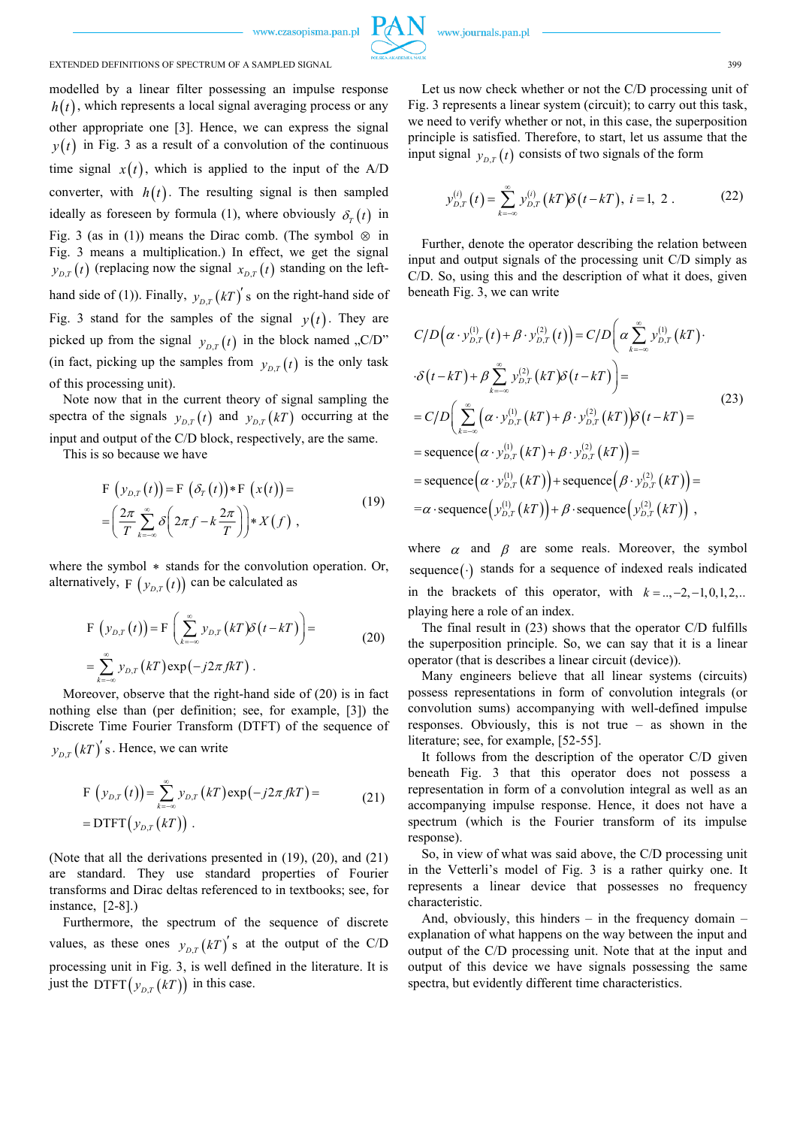

## EXTENDED DEFINITIONS OF SPECTRUM OF A SAMPLED SIGNAL **1999** 399

modelled by a linear filter possessing an impulse response  $h(t)$ , which represents a local signal averaging process or any other appropriate one [3]. Hence, we can express the signal  $y(t)$  in Fig. 3 as a result of a convolution of the continuous time signal  $x(t)$ , which is applied to the input of the  $A/D$ converter, with  $h(t)$ . The resulting signal is then sampled ideally as foreseen by formula (1), where obviously  $\delta_r(t)$  in Fig. 3 (as in (1)) means the Dirac comb. (The symbol  $\otimes$  in Fig. 3 means a multiplication.) In effect, we get the signal  $y_{D,T}(t)$  (replacing now the signal  $x_{D,T}(t)$  standing on the lefthand side of (1)). Finally,  $y_{D,T}(kT)'$  s on the right-hand side of Fig. 3 stand for the samples of the signal  $y(t)$ . They are picked up from the signal  $y_{D,T}(t)$  in the block named ,,C/D" (in fact, picking up the samples from  $y_{D,T}(t)$  is the only task of this processing unit).

Note now that in the current theory of signal sampling the spectra of the signals  $y_{D,T}(t)$  and  $y_{D,T}(kT)$  occurring at the input and output of the C/D block, respectively, are the same.

This is so because we have

$$
\begin{aligned} \n\mathbf{F} \left( y_{D,T}(t) \right) &= \mathbf{F} \left( \delta_T(t) \right) \ast \mathbf{F} \left( x(t) \right) = \\ \n&= \left( \frac{2\pi}{T} \sum_{k=-\infty}^{\infty} \delta \left( 2\pi f - k \frac{2\pi}{T} \right) \right) \ast X(f) \,, \n\end{aligned} \tag{19}
$$

where the symbol  $*$  stands for the convolution operation. Or, alternatively,  $_{\mathrm{F}}\left( \mathcal{y}_{\scriptscriptstyle D,T}\left( t\right) \right)$  can be calculated as

$$
\mathbf{F}\left(y_{D,T}(t)\right) = \mathbf{F}\left(\sum_{k=-\infty}^{\infty} y_{D,T}(kT)\delta\left(t - kT\right)\right) = \newline = \sum_{k=-\infty}^{\infty} y_{D,T}(kT) \exp\left(-j2\pi f kT\right).
$$
\n(20)

Moreover, observe that the right-hand side of (20) is in fact nothing else than (per definition; see, for example, [3]) the Discrete Time Fourier Transform (DTFT) of the sequence of

 $y_{D,T}(kT)^{'}$ s. Hence, we can write

$$
\begin{aligned} \n\mathbf{F} \left( y_{D,T}(t) \right) &= \sum_{k=-\infty}^{\infty} y_{D,T}(k) \exp\left(-j2\pi f k \right) = \\ \n&= \mathbf{D} \mathbf{T} \mathbf{F} \mathbf{T} \left( y_{D,T}(k) \right) \, . \n\end{aligned} \tag{21}
$$

(Note that all the derivations presented in (19), (20), and (21) are standard. They use standard properties of Fourier transforms and Dirac deltas referenced to in textbooks; see, for instance, [2-8].)

Furthermore, the spectrum of the sequence of discrete values, as these ones  $y_{D,T}(kT)^{'}s$  at the output of the C/D processing unit in Fig. 3, is well defined in the literature. It is just the DTFT $(y_{D,T}(kT))$  in this case.

Let us now check whether or not the C/D processing unit of Fig. 3 represents a linear system (circuit); to carry out this task, we need to verify whether or not, in this case, the superposition principle is satisfied. Therefore, to start, let us assume that the input signal  $y_{D,T}(t)$  consists of two signals of the form

$$
y_{D,T}^{(i)}(t) = \sum_{k=-\infty}^{\infty} y_{D,T}^{(i)}(k) \delta(t - k), \ i = 1, 2.
$$
 (22)

Further, denote the operator describing the relation between input and output signals of the processing unit C/D simply as C/D. So, using this and the description of what it does, given beneath Fig. 3, we can write

$$
C/D(\alpha \cdot y_{D,T}^{(1)}(t) + \beta \cdot y_{D,T}^{(2)}(t)) = C/D(\alpha \sum_{k=-\infty}^{\infty} y_{D,T}^{(1)}(kT) \cdot \delta(t - kT) + \beta \sum_{k=-\infty}^{\infty} y_{D,T}^{(2)}(kT) \delta(t - kT) =
$$
  
\n
$$
= C/D\left(\sum_{k=-\infty}^{\infty} (\alpha \cdot y_{D,T}^{(1)}(kT) + \beta \cdot y_{D,T}^{(2)}(kT)) \delta(t - kT) =
$$
  
\n
$$
= \text{sequence}(\alpha \cdot y_{D,T}^{(1)}(kT) + \beta \cdot y_{D,T}^{(2)}(kT)) =
$$
  
\n
$$
= \text{sequence}(\alpha \cdot y_{D,T}^{(1)}(kT)) + \text{sequence}(\beta \cdot y_{D,T}^{(2)}(kT)) =
$$
  
\n
$$
= \alpha \cdot \text{sequence}(\gamma_{D,T}^{(1)}(kT)) + \beta \cdot \text{sequence}(\gamma_{D,T}^{(2)}(kT)),
$$

where  $\alpha$  and  $\beta$  are some reals. Moreover, the symbol sequence(.) stands for a sequence of indexed reals indicated in the brackets of this operator, with  $k = 1, 2, -1, 0, 1, 2, ...$ playing here a role of an index.

The final result in (23) shows that the operator C/D fulfills the superposition principle. So, we can say that it is a linear operator (that is describes a linear circuit (device)).

Many engineers believe that all linear systems (circuits) possess representations in form of convolution integrals (or convolution sums) accompanying with well-defined impulse responses. Obviously, this is not true – as shown in the literature; see, for example, [52-55].

It follows from the description of the operator C/D given beneath Fig. 3 that this operator does not possess a representation in form of a convolution integral as well as an accompanying impulse response. Hence, it does not have a spectrum (which is the Fourier transform of its impulse response).

So, in view of what was said above, the C/D processing unit in the Vetterli's model of Fig. 3 is a rather quirky one. It represents a linear device that possesses no frequency characteristic.

And, obviously, this hinders – in the frequency domain – explanation of what happens on the way between the input and output of the C/D processing unit. Note that at the input and output of this device we have signals possessing the same spectra, but evidently different time characteristics.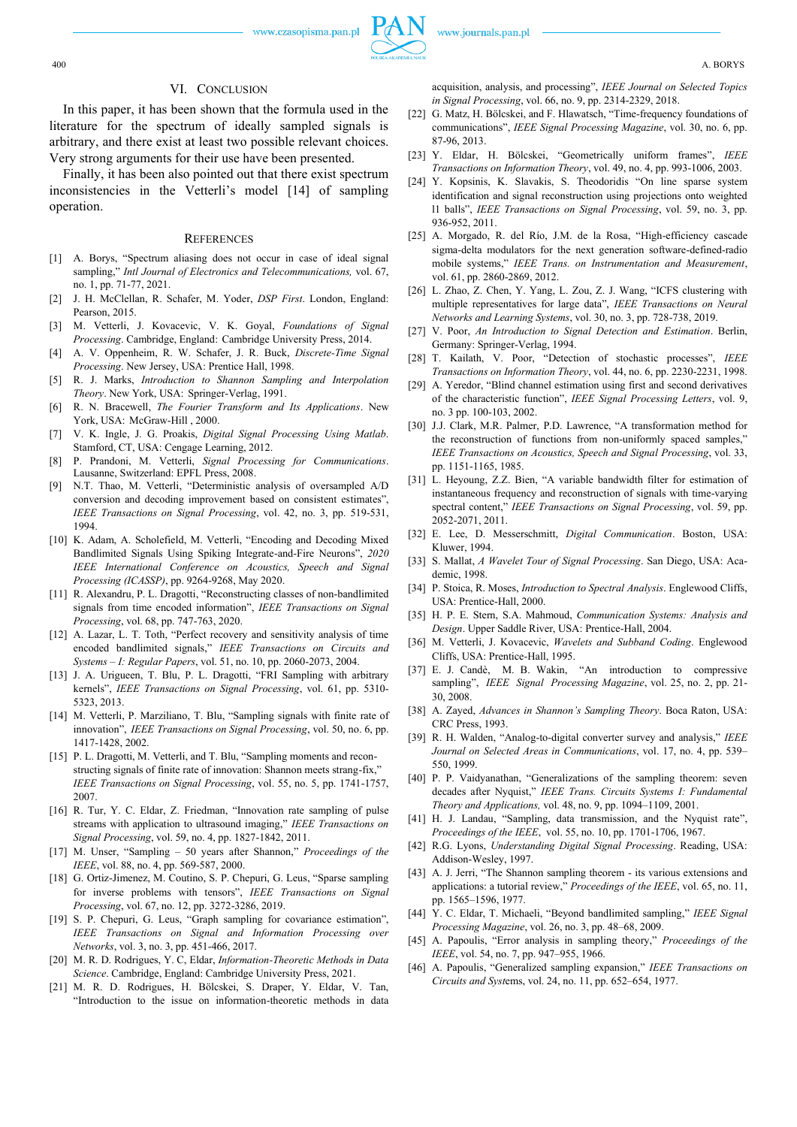#### VI. CONCLUSION

In this paper, it has been shown that the formula used in the literature for the spectrum of ideally sampled signals is arbitrary, and there exist at least two possible relevant choices. Very strong arguments for their use have been presented.

Finally, it has been also pointed out that there exist spectrum inconsistencies in the Vetterli's model [14] of sampling operation.

#### **REFERENCES**

- [1] A. Borys, "Spectrum aliasing does not occur in case of ideal signal sampling," *Intl Journal of Electronics and Telecommunications,* vol. 67, no. 1, pp. 71-77, 2021.
- [2] J. H. McClellan, R. Schafer, M. Yoder, *DSP First*. London, England: Pearson, 2015.
- [3] M. Vetterli, J. Kovacevic, V. K. Goyal, *Foundations of Signal Processing*. Cambridge, England: Cambridge University Press, 2014.
- [4] A. V. Oppenheim, R. W. Schafer, J. R. Buck, *Discrete-Time Signal Processing*. New Jersey, USA: Prentice Hall, 1998.
- [5] R. J. Marks, *Introduction to Shannon Sampling and Interpolation Theory*. New York, USA: Springer-Verlag, 1991.
- [6] R. N. Bracewell, *The Fourier Transform and Its Applications*. New York, USA: McGraw-Hill, 2000.
- [7] V. K. Ingle, J. G. Proakis, *Digital Signal Processing Using Matlab*. Stamford, CT, USA: Cengage Learning, 2012.
- [8] P. Prandoni, M. Vetterli, *Signal Processing for Communications*. Lausanne, Switzerland: EPFL Press, 2008.
- [9] N.T. Thao, M. Vetterli, "Deterministic analysis of oversampled A/D conversion and decoding improvement based on consistent estimates", *IEEE Transactions on Signal Processing*, vol. 42, no. 3, pp. 519-531, 1994.
- [10] K. Adam, A. Scholefield, M. Vetterli, "Encoding and Decoding Mixed Bandlimited Signals Using Spiking Integrate-and-Fire Neurons", *2020 IEEE International Conference on Acoustics, Speech and Signal Processing (ICASSP)*, pp. 9264-9268, May 2020.
- [11] R. Alexandru, P. L. Dragotti, "Reconstructing classes of non-bandlimited signals from time encoded information", *IEEE Transactions on Signal Processing*, vol. 68, pp. 747-763, 2020.
- [12] A. Lazar, L. T. Toth, "Perfect recovery and sensitivity analysis of time encoded bandlimited signals," *IEEE Transactions on Circuits and Systems – I: Regular Papers*, vol. 51, no. 10, pp. 2060-2073, 2004.
- [13] J. A. Urigueen, T. Blu, P. L. Dragotti, "FRI Sampling with arbitrary kernels", *IEEE Transactions on Signal Processing*, vol. 61, pp. 5310- 5323, 2013.
- [14] M. Vetterli, P. Marziliano, T. Blu, "Sampling signals with finite rate of innovation", *IEEE Transactions on Signal Processing*, vol. 50, no. 6, pp. 1417-1428, 2002.
- [15] P. L. Dragotti, M. Vetterli, and T. Blu, "Sampling moments and reconstructing signals of finite rate of innovation: Shannon meets strang-fix," *IEEE Transactions on Signal Processing*, vol. 55, no. 5, pp. 1741-1757, 2007.
- [16] R. Tur, Y. C. Eldar, Z. Friedman, "Innovation rate sampling of pulse streams with application to ultrasound imaging," *IEEE Transactions on Signal Processing*, vol. 59, no. 4, pp. 1827-1842, 2011.
- [17] M. Unser, "Sampling 50 years after Shannon," *Proceedings of the IEEE*, vol. 88, no. 4, pp. 569-587, 2000.
- [18] G. Ortiz-Jimenez, M. Coutino, S. P. Chepuri, G. Leus, "Sparse sampling for inverse problems with tensors", *IEEE Transactions on Signal Processing*, vol. 67, no. 12, pp. 3272-3286, 2019.
- [19] S. P. Chepuri, G. Leus, "Graph sampling for covariance estimation", *IEEE Transactions on Signal and Information Processing over Networks*, vol. 3, no. 3, pp. 451-466, 2017.
- [20] M. R. D. Rodrigues, Y. C, Eldar, *Information-Theoretic Methods in Data Science*. Cambridge, England: Cambridge University Press, 2021.
- [21] M. R. D. Rodrigues, H. Bölcskei, S. Draper, Y. Eldar, V. Tan, "Introduction to the issue on information-theoretic methods in data

acquisition, analysis, and processing", *IEEE Journal on Selected Topics in Signal Processing*, vol. 66, no. 9, pp. 2314-2329, 2018.

- [22] G. Matz, H. Bölcskei, and F. Hlawatsch, "Time-frequency foundations of communications", *IEEE Signal Processing Magazine*, vol. 30, no. 6, pp. 87-96, 2013.
- [23] Y. Eldar, H. Bölcskei, "Geometrically uniform frames", *IEEE Transactions on Information Theory*, vol. 49, no. 4, pp. 993-1006, 2003.
- [24] Y. Kopsinis, K. Slavakis, S. Theodoridis "On line sparse system identification and signal reconstruction using projections onto weighted l1 balls", *IEEE Transactions on Signal Processing*, vol. 59, no. 3, pp. 936-952, 2011.
- [25] A. Morgado, R. del Río, J.M. de la Rosa, "High-efficiency cascade sigma-delta modulators for the next generation software-defined-radio mobile systems," *IEEE Trans. on Instrumentation and Measurement*, vol. 61, pp. 2860-2869, 2012.
- [26] L. Zhao, Z. Chen, Y. Yang, L. Zou, Z. J. Wang, "ICFS clustering with multiple representatives for large data", *IEEE Transactions on Neural Networks and Learning Systems*, vol. 30, no. 3, pp. 728-738, 2019.
- [27] V. Poor, *An Introduction to Signal Detection and Estimation*. Berlin, Germany: Springer-Verlag, 1994.
- [28] T. Kailath, V. Poor, "Detection of stochastic processes", *IEEE Transactions on Information Theory*, vol. 44, no. 6, pp. 2230-2231, 1998.
- [29] A. Yeredor, "Blind channel estimation using first and second derivatives of the characteristic function", *IEEE Signal Processing Letters*, vol. 9, no. 3 pp. 100-103, 2002.
- [30] J.J. Clark, M.R. Palmer, P.D. Lawrence, "A transformation method for the reconstruction of functions from non-uniformly spaced samples," *IEEE Transactions on Acoustics, Speech and Signal Processing*, vol. 33, pp. 1151-1165, 1985.
- [31] L. Heyoung, Z.Z. Bien, "A variable bandwidth filter for estimation of instantaneous frequency and reconstruction of signals with time-varying spectral content," *IEEE Transactions on Signal Processing*, vol. 59, pp. 2052-2071, 2011.
- [32] E. Lee, D. Messerschmitt, *Digital Communication*. Boston, USA: Kluwer, 1994.
- [33] S. Mallat, *A Wavelet Tour of Signal Processing*. San Diego, USA: Academic, 1998.
- [34] P. Stoica, R. Moses, *Introduction to Spectral Analysis*. Englewood Cliffs, USA: Prentice-Hall, 2000.
- [35] H. P. E. Stern, S.A. Mahmoud, *Communication Systems: Analysis and Design*. Upper Saddle River, USA: Prentice-Hall, 2004.
- [36] M. Vetterli, J. Kovacevic, *Wavelets and Subband Coding*. Englewood Cliffs, USA: Prentice-Hall, 1995.
- [37] E. J. Candè, M. B. Wakin, "An introduction to compressive sampling", *IEEE Signal Processing Magazine*, vol. 25, no. 2, pp. 21- 30, 2008.
- [38] A. Zayed, *Advances in Shannon's Sampling Theory*. Boca Raton, USA: CRC Press, 1993.
- [39] R. H. Walden, "Analog-to-digital converter survey and analysis," *IEEE Journal on Selected Areas in Communications*, vol. 17, no. 4, pp. 539– 550, 1999.
- [40] P. P. Vaidyanathan, "Generalizations of the sampling theorem: seven decades after Nyquist," *IEEE Trans. Circuits Systems I: Fundamental Theory and Applications,* vol. 48, no. 9, pp. 1094–1109, 2001.
- [41] H. J. Landau, "Sampling, data transmission, and the Nyquist rate", *Proceedings of the IEEE*, vol. 55, no. 10, pp. 1701-1706, 1967.
- [42] R.G. Lyons, *Understanding Digital Signal Processing*. Reading, USA: Addison-Wesley, 1997.
- [43] A. J. Jerri, "The Shannon sampling theorem its various extensions and applications: a tutorial review," *Proceedings of the IEEE*, vol. 65, no. 11, pp. 1565–1596, 1977.
- [44] Y. C. Eldar, T. Michaeli, "Beyond bandlimited sampling," *IEEE Signal Processing Magazine*, vol. 26, no. 3, pp. 48–68, 2009.
- [45] A. Papoulis, "Error analysis in sampling theory," *Proceedings of the IEEE*, vol. 54, no. 7, pp. 947–955, 1966.
- [46] A. Papoulis, "Generalized sampling expansion," *IEEE Transactions on Circuits and Syst*ems, vol. 24, no. 11, pp. 652–654, 1977.